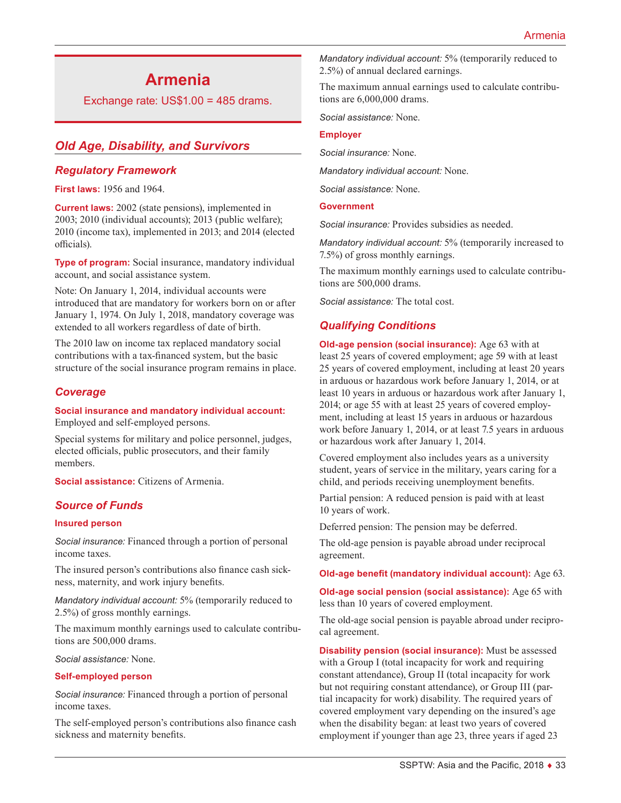# **Armenia**

Exchange rate: US\$1.00 = 485 drams.

# *Old Age, Disability, and Survivors*

### *Regulatory Framework*

**First laws:** 1956 and 1964.

**Current laws:** 2002 (state pensions), implemented in 2003; 2010 (individual accounts); 2013 (public welfare); 2010 (income tax), implemented in 2013; and 2014 (elected officials).

**Type of program:** Social insurance, mandatory individual account, and social assistance system.

Note: On January 1, 2014, individual accounts were introduced that are mandatory for workers born on or after January 1, 1974. On July 1, 2018, mandatory coverage was extended to all workers regardless of date of birth.

The 2010 law on income tax replaced mandatory social contributions with a tax-financed system, but the basic structure of the social insurance program remains in place.

### *Coverage*

#### **Social insurance and mandatory individual account:** Employed and self-employed persons.

Special systems for military and police personnel, judges, elected officials, public prosecutors, and their family members.

**Social assistance:** Citizens of Armenia.

# *Source of Funds*

#### **Insured person**

*Social insurance:* Financed through a portion of personal income taxes.

The insured person's contributions also finance cash sickness, maternity, and work injury benefits.

*Mandatory individual account:* 5% (temporarily reduced to 2.5%) of gross monthly earnings.

The maximum monthly earnings used to calculate contributions are 500,000 drams.

*Social assistance:* None.

#### **Self-employed person**

*Social insurance:* Financed through a portion of personal income taxes.

The self-employed person's contributions also finance cash sickness and maternity benefits.

*Mandatory individual account:* 5% (temporarily reduced to 2.5%) of annual declared earnings.

The maximum annual earnings used to calculate contributions are 6,000,000 drams.

*Social assistance:* None.

#### **Employer**

*Social insurance:* None.

*Mandatory individual account:* None.

*Social assistance:* None.

#### **Government**

*Social insurance:* Provides subsidies as needed.

*Mandatory individual account:* 5% (temporarily increased to 7.5%) of gross monthly earnings.

The maximum monthly earnings used to calculate contributions are 500,000 drams.

*Social assistance:* The total cost.

# *Qualifying Conditions*

**Old-age pension (social insurance):** Age 63 with at least 25 years of covered employment; age 59 with at least 25 years of covered employment, including at least 20 years in arduous or hazardous work before January 1, 2014, or at least 10 years in arduous or hazardous work after January 1, 2014; or age 55 with at least 25 years of covered employment, including at least 15 years in arduous or hazardous work before January 1, 2014, or at least 7.5 years in arduous or hazardous work after January 1, 2014.

Covered employment also includes years as a university student, years of service in the military, years caring for a child, and periods receiving unemployment benefits.

Partial pension: A reduced pension is paid with at least 10 years of work.

Deferred pension: The pension may be deferred.

The old-age pension is payable abroad under reciprocal agreement.

**Old-age benefit (mandatory individual account):** Age 63.

**Old-age social pension (social assistance):** Age 65 with less than 10 years of covered employment.

The old-age social pension is payable abroad under reciprocal agreement.

**Disability pension (social insurance):** Must be assessed with a Group I (total incapacity for work and requiring constant attendance), Group II (total incapacity for work but not requiring constant attendance), or Group III (partial incapacity for work) disability. The required years of covered employment vary depending on the insured's age when the disability began: at least two years of covered employment if younger than age 23, three years if aged 23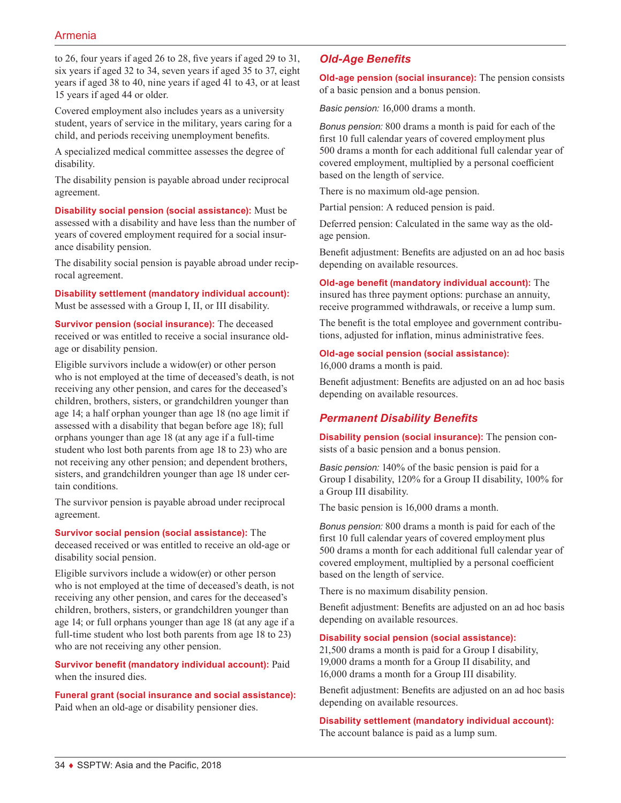to 26, four years if aged 26 to 28, five years if aged 29 to 31, six years if aged 32 to 34, seven years if aged 35 to 37, eight years if aged 38 to 40, nine years if aged 41 to 43, or at least 15 years if aged 44 or older.

Covered employment also includes years as a university student, years of service in the military, years caring for a child, and periods receiving unemployment benefits.

A specialized medical committee assesses the degree of disability.

The disability pension is payable abroad under reciprocal agreement.

**Disability social pension (social assistance):** Must be assessed with a disability and have less than the number of years of covered employment required for a social insurance disability pension.

The disability social pension is payable abroad under reciprocal agreement.

**Disability settlement (mandatory individual account):** Must be assessed with a Group I, II, or III disability.

**Survivor pension (social insurance):** The deceased received or was entitled to receive a social insurance oldage or disability pension.

Eligible survivors include a widow(er) or other person who is not employed at the time of deceased's death, is not receiving any other pension, and cares for the deceased's children, brothers, sisters, or grandchildren younger than age 14; a half orphan younger than age 18 (no age limit if assessed with a disability that began before age 18); full orphans younger than age 18 (at any age if a full-time student who lost both parents from age 18 to 23) who are not receiving any other pension; and dependent brothers, sisters, and grandchildren younger than age 18 under certain conditions.

The survivor pension is payable abroad under reciprocal agreement.

#### **Survivor social pension (social assistance):** The

deceased received or was entitled to receive an old-age or disability social pension.

Eligible survivors include a widow(er) or other person who is not employed at the time of deceased's death, is not receiving any other pension, and cares for the deceased's children, brothers, sisters, or grandchildren younger than age 14; or full orphans younger than age 18 (at any age if a full-time student who lost both parents from age 18 to 23) who are not receiving any other pension.

**Survivor benefit (mandatory individual account):** Paid when the insured dies.

**Funeral grant (social insurance and social assistance):** Paid when an old-age or disability pensioner dies.

# *Old-Age Benefits*

**Old-age pension (social insurance):** The pension consists of a basic pension and a bonus pension.

*Basic pension:* 16,000 drams a month.

*Bonus pension:* 800 drams a month is paid for each of the first 10 full calendar years of covered employment plus 500 drams a month for each additional full calendar year of covered employment, multiplied by a personal coefficient based on the length of service.

There is no maximum old-age pension.

Partial pension: A reduced pension is paid.

Deferred pension: Calculated in the same way as the oldage pension.

Benefit adjustment: Benefits are adjusted on an ad hoc basis depending on available resources.

### **Old-age benefit (mandatory individual account):** The

insured has three payment options: purchase an annuity, receive programmed withdrawals, or receive a lump sum.

The benefit is the total employee and government contributions, adjusted for inflation, minus administrative fees.

#### **Old-age social pension (social assistance):**

16,000 drams a month is paid.

Benefit adjustment: Benefits are adjusted on an ad hoc basis depending on available resources.

# *Permanent Disability Benefits*

**Disability pension (social insurance):** The pension consists of a basic pension and a bonus pension.

*Basic pension:* 140% of the basic pension is paid for a Group I disability, 120% for a Group II disability, 100% for a Group III disability.

The basic pension is 16,000 drams a month.

*Bonus pension:* 800 drams a month is paid for each of the first 10 full calendar years of covered employment plus 500 drams a month for each additional full calendar year of covered employment, multiplied by a personal coefficient based on the length of service.

There is no maximum disability pension.

Benefit adjustment: Benefits are adjusted on an ad hoc basis depending on available resources.

#### **Disability social pension (social assistance):**

21,500 drams a month is paid for a Group I disability, 19,000 drams a month for a Group II disability, and 16,000 drams a month for a Group III disability.

Benefit adjustment: Benefits are adjusted on an ad hoc basis depending on available resources.

**Disability settlement (mandatory individual account):** The account balance is paid as a lump sum.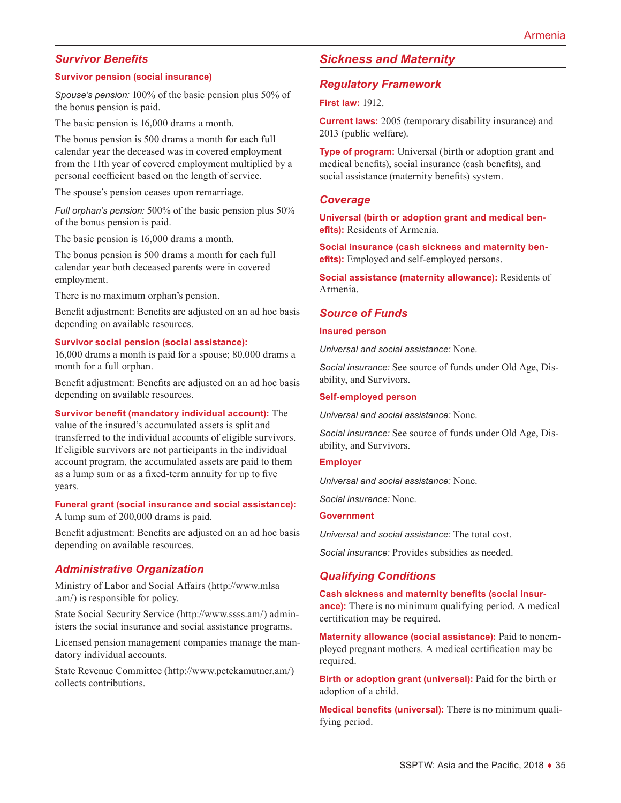# *Survivor Benefits*

#### **Survivor pension (social insurance)**

*Spouse's pension:* 100% of the basic pension plus 50% of the bonus pension is paid.

The basic pension is 16,000 drams a month.

The bonus pension is 500 drams a month for each full calendar year the deceased was in covered employment from the 11th year of covered employment multiplied by a personal coefficient based on the length of service.

The spouse's pension ceases upon remarriage.

*Full orphan's pension:* 500% of the basic pension plus 50% of the bonus pension is paid.

The basic pension is 16,000 drams a month.

The bonus pension is 500 drams a month for each full calendar year both deceased parents were in covered employment.

There is no maximum orphan's pension.

Benefit adjustment: Benefits are adjusted on an ad hoc basis depending on available resources.

#### **Survivor social pension (social assistance):**

16,000 drams a month is paid for a spouse; 80,000 drams a month for a full orphan.

Benefit adjustment: Benefits are adjusted on an ad hoc basis depending on available resources.

**Survivor benefit (mandatory individual account):** The

value of the insured's accumulated assets is split and transferred to the individual accounts of eligible survivors. If eligible survivors are not participants in the individual account program, the accumulated assets are paid to them as a lump sum or as a fixed-term annuity for up to five years.

**Funeral grant (social insurance and social assistance):** A lump sum of 200,000 drams is paid.

Benefit adjustment: Benefits are adjusted on an ad hoc basis depending on available resources.

### *Administrative Organization*

Ministry of Labor and Social Affairs ([http://www.mlsa](http://www.mlsa.am/) [.am/](http://www.mlsa.am/)) is responsible for policy.

State Social Security Service ([http://www.ssss.am/\)](http://www.ssss.am/) administers the social insurance and social assistance programs.

Licensed pension management companies manage the mandatory individual accounts.

State Revenue Committee ([http://www.petekamutner.am/\)](http://www.petekamutner.am/) collects contributions.

## *Sickness and Maternity*

### *Regulatory Framework*

#### **First law:** 1912.

**Current laws:** 2005 (temporary disability insurance) and 2013 (public welfare).

**Type of program:** Universal (birth or adoption grant and medical benefits), social insurance (cash benefits), and social assistance (maternity benefits) system.

#### *Coverage*

**Universal (birth or adoption grant and medical benefits):** Residents of Armenia.

**Social insurance (cash sickness and maternity benefits):** Employed and self-employed persons.

**Social assistance (maternity allowance):** Residents of Armenia.

#### *Source of Funds*

#### **Insured person**

*Universal and social assistance:* None.

*Social insurance:* See source of funds under Old Age, Disability, and Survivors.

#### **Self-employed person**

*Universal and social assistance:* None.

*Social insurance:* See source of funds under Old Age, Disability, and Survivors.

#### **Employer**

*Universal and social assistance:* None.

*Social insurance:* None.

#### **Government**

*Universal and social assistance:* The total cost.

*Social insurance:* Provides subsidies as needed.

#### *Qualifying Conditions*

**Cash sickness and maternity benefits (social insurance):** There is no minimum qualifying period. A medical certification may be required.

**Maternity allowance (social assistance):** Paid to nonemployed pregnant mothers. A medical certification may be required.

**Birth or adoption grant (universal):** Paid for the birth or adoption of a child.

**Medical benefits (universal):** There is no minimum qualifying period.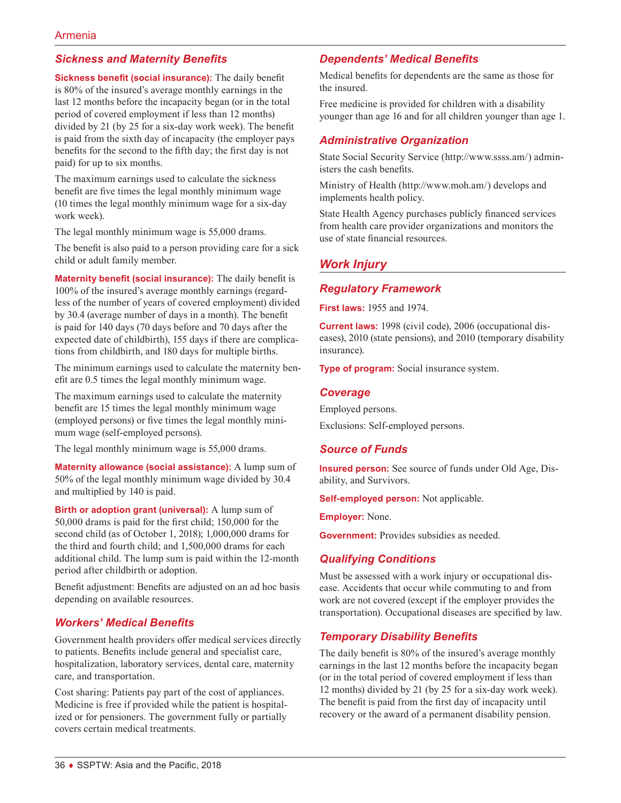# *Sickness and Maternity Benefits*

**Sickness benefit (social insurance):** The daily benefit is 80% of the insured's average monthly earnings in the last 12 months before the incapacity began (or in the total period of covered employment if less than 12 months) divided by 21 (by 25 for a six-day work week). The benefit is paid from the sixth day of incapacity (the employer pays benefits for the second to the fifth day; the first day is not paid) for up to six months.

The maximum earnings used to calculate the sickness benefit are five times the legal monthly minimum wage (10 times the legal monthly minimum wage for a six-day work week).

The legal monthly minimum wage is 55,000 drams.

The benefit is also paid to a person providing care for a sick child or adult family member.

**Maternity benefit (social insurance):** The daily benefit is 100% of the insured's average monthly earnings (regardless of the number of years of covered employment) divided by 30.4 (average number of days in a month). The benefit is paid for 140 days (70 days before and 70 days after the expected date of childbirth), 155 days if there are complications from childbirth, and 180 days for multiple births.

The minimum earnings used to calculate the maternity benefit are 0.5 times the legal monthly minimum wage.

The maximum earnings used to calculate the maternity benefit are 15 times the legal monthly minimum wage (employed persons) or five times the legal monthly minimum wage (self-employed persons).

The legal monthly minimum wage is 55,000 drams.

**Maternity allowance (social assistance):** A lump sum of 50% of the legal monthly minimum wage divided by 30.4 and multiplied by 140 is paid.

**Birth or adoption grant (universal):** A lump sum of 50,000 drams is paid for the first child; 150,000 for the second child (as of October 1, 2018); 1,000,000 drams for the third and fourth child; and 1,500,000 drams for each additional child. The lump sum is paid within the 12-month period after childbirth or adoption.

Benefit adjustment: Benefits are adjusted on an ad hoc basis depending on available resources.

# *Workers' Medical Benefits*

Government health providers offer medical services directly to patients. Benefits include general and specialist care, hospitalization, laboratory services, dental care, maternity care, and transportation.

Cost sharing: Patients pay part of the cost of appliances. Medicine is free if provided while the patient is hospitalized or for pensioners. The government fully or partially covers certain medical treatments.

# *Dependents' Medical Benefits*

Medical benefits for dependents are the same as those for the insured.

Free medicine is provided for children with a disability younger than age 16 and for all children younger than age 1.

## *Administrative Organization*

State Social Security Service ([http://www.ssss.am/\)](http://www.ssss.am/) administers the cash benefits.

Ministry of Health ([http://www.moh.am/\)](http://www.moh.am/) develops and implements health policy.

State Health Agency purchases publicly financed services from health care provider organizations and monitors the use of state financial resources.

# *Work Injury*

### *Regulatory Framework*

**First laws:** 1955 and 1974.

**Current laws:** 1998 (civil code), 2006 (occupational diseases), 2010 (state pensions), and 2010 (temporary disability insurance).

**Type of program:** Social insurance system.

### *Coverage*

Employed persons.

Exclusions: Self-employed persons.

### *Source of Funds*

**Insured person:** See source of funds under Old Age, Disability, and Survivors.

**Self-employed person:** Not applicable.

**Employer:** None.

**Government:** Provides subsidies as needed.

# *Qualifying Conditions*

Must be assessed with a work injury or occupational disease. Accidents that occur while commuting to and from work are not covered (except if the employer provides the transportation). Occupational diseases are specified by law.

# *Temporary Disability Benefits*

The daily benefit is 80% of the insured's average monthly earnings in the last 12 months before the incapacity began (or in the total period of covered employment if less than 12 months) divided by 21 (by 25 for a six-day work week). The benefit is paid from the first day of incapacity until recovery or the award of a permanent disability pension.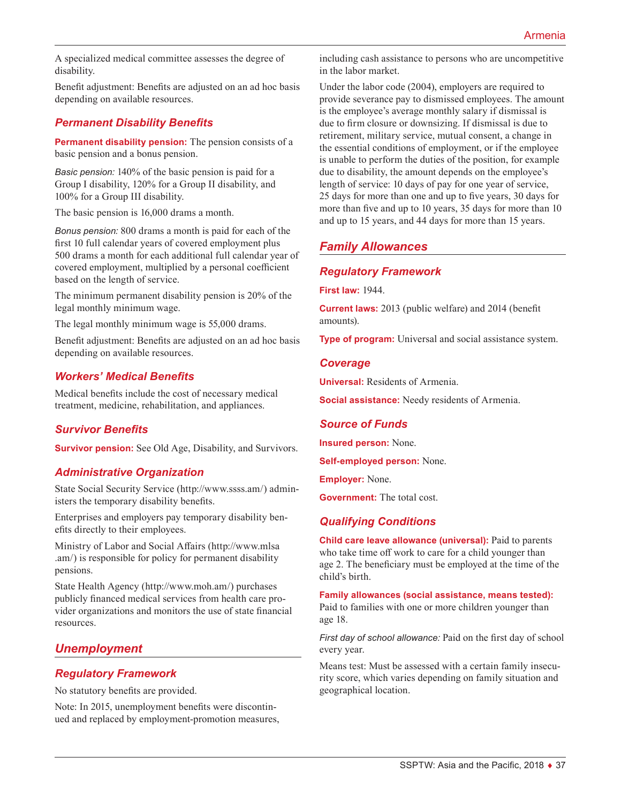A specialized medical committee assesses the degree of disability.

Benefit adjustment: Benefits are adjusted on an ad hoc basis depending on available resources.

# *Permanent Disability Benefits*

**Permanent disability pension:** The pension consists of a basic pension and a bonus pension.

*Basic pension:* 140% of the basic pension is paid for a Group I disability, 120% for a Group II disability, and 100% for a Group III disability.

The basic pension is 16,000 drams a month.

*Bonus pension:* 800 drams a month is paid for each of the first 10 full calendar years of covered employment plus 500 drams a month for each additional full calendar year of covered employment, multiplied by a personal coefficient based on the length of service.

The minimum permanent disability pension is 20% of the legal monthly minimum wage.

The legal monthly minimum wage is 55,000 drams.

Benefit adjustment: Benefits are adjusted on an ad hoc basis depending on available resources.

# *Workers' Medical Benefits*

Medical benefits include the cost of necessary medical treatment, medicine, rehabilitation, and appliances.

# *Survivor Benefits*

**Survivor pension:** See Old Age, Disability, and Survivors.

# *Administrative Organization*

State Social Security Service ([http://www.ssss.am/\)](http://www.ssss.am/) administers the temporary disability benefits.

Enterprises and employers pay temporary disability benefits directly to their employees.

Ministry of Labor and Social Affairs ([http://www.mlsa](http://www.mlsa.am/) [.am/](http://www.mlsa.am/)) is responsible for policy for permanent disability pensions.

State Health Agency [\(http://www.moh.am/](http://www.moh.am/)) purchases publicly financed medical services from health care provider organizations and monitors the use of state financial resources.

# *Unemployment*

# *Regulatory Framework*

No statutory benefits are provided.

Note: In 2015, unemployment benefits were discontinued and replaced by employment-promotion measures, including cash assistance to persons who are uncompetitive in the labor market.

Under the labor code (2004), employers are required to provide severance pay to dismissed employees. The amount is the employee's average monthly salary if dismissal is due to firm closure or downsizing. If dismissal is due to retirement, military service, mutual consent, a change in the essential conditions of employment, or if the employee is unable to perform the duties of the position, for example due to disability, the amount depends on the employee's length of service: 10 days of pay for one year of service, 25 days for more than one and up to five years, 30 days for more than five and up to 10 years, 35 days for more than 10 and up to 15 years, and 44 days for more than 15 years.

# *Family Allowances*

# *Regulatory Framework*

**First law:** 1944.

**Current laws:** 2013 (public welfare) and 2014 (benefit amounts).

**Type of program:** Universal and social assistance system.

### *Coverage*

**Universal:** Residents of Armenia.

**Social assistance:** Needy residents of Armenia.

# *Source of Funds*

**Insured person:** None.

**Self-employed person:** None.

**Employer:** None.

**Government:** The total cost.

# *Qualifying Conditions*

**Child care leave allowance (universal):** Paid to parents who take time off work to care for a child younger than age 2. The beneficiary must be employed at the time of the child's birth.

**Family allowances (social assistance, means tested):** Paid to families with one or more children younger than age 18.

*First day of school allowance:* Paid on the first day of school every year.

Means test: Must be assessed with a certain family insecurity score, which varies depending on family situation and geographical location.